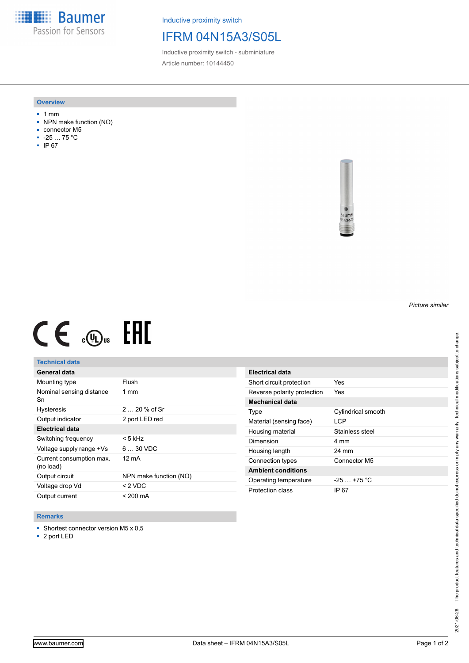**Baumer** Passion for Sensors

Inductive proximity switch

# IFRM 04N15A3/S05L

Inductive proximity switch - subminiature Article number: 10144450

#### **Overview**

- 1 mm
- NPN make function (NO)
- connector M5
- -25 … 75 °C
- IP 67



# $CE \mathcal{L}$  (Dus FRE

## **Technical data**

| General data                          |                        |
|---------------------------------------|------------------------|
| Mounting type                         | Flush                  |
| Nominal sensing distance<br>Sn        | $1 \text{ mm}$         |
| <b>Hysteresis</b>                     | $220%$ of Sr           |
| Output indicator                      | 2 port LED red         |
| Electrical data                       |                        |
| Switching frequency                   | < 5 kHz                |
| Voltage supply range +Vs              | $630$ VDC              |
| Current consumption max.<br>(no load) | 12 mA                  |
| Output circuit                        | NPN make function (NO) |
| Voltage drop Vd                       | < 2 VDC                |
| Output current                        | < 200 mA               |

| <b>Electrical data</b>      |                    |
|-----------------------------|--------------------|
| Short circuit protection    | Yes                |
| Reverse polarity protection | Yes                |
| Mechanical data             |                    |
| Type                        | Cylindrical smooth |
| Material (sensing face)     | I CP               |
| Housing material            | Stainless steel    |
| Dimension                   | 4 mm               |
| Housing length              | 24 mm              |
| Connection types            | Connector M5       |
| <b>Ambient conditions</b>   |                    |
| Operating temperature       | $-25 + 75$ °C      |
| Protection class            | IP 67              |

#### **Remarks**

■ Shortest connector version M5 x 0,5

■ 2 port LED

*Picture similar*